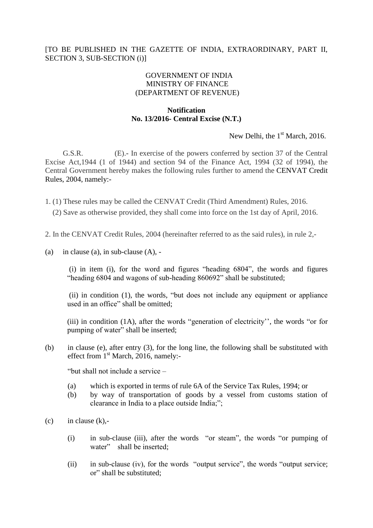## [TO BE PUBLISHED IN THE GAZETTE OF INDIA, EXTRAORDINARY, PART II, SECTION 3, SUB-SECTION (i)]

#### GOVERNMENT OF INDIA MINISTRY OF FINANCE (DEPARTMENT OF REVENUE)

### **Notification No. 13/2016- Central Excise (N.T.)**

New Delhi, the  $1<sup>st</sup>$  March, 2016.

G.S.R. (E).**-** In exercise of the powers conferred by section 37 of the Central Excise Act,1944 (1 of 1944) and section 94 of the Finance Act, 1994 (32 of 1994), the Central Government hereby makes the following rules further to amend the [CENVAT](http://www.eximkey.net/notification.php?intId=14355&Path=/Sec/Excise/ARR2/CentralExciseRules/CENVAT_Credit_Rules_2004_1.htm) Credit Rules, 2004, namely:-

- 1. (1) These rules may be called the CENVAT Credit (Third Amendment) Rules, 2016. (2) Save as otherwise provided, they shall come into force on the 1st day of April, 2016.
- 2. In the CENVAT Credit Rules, 2004 (hereinafter referred to as the said rules), in rule 2,-
- (a) in clause (a), in sub-clause  $(A)$ , -

(i) in item (i), for the word and figures "heading  $6804$ ", the words and figures "heading 6804 and wagons of sub-heading 860692" shall be substituted;

 $(iii)$  in condition  $(1)$ , the words, "but does not include any equipment or appliance used in an office" shall be omitted:

 $(iii)$  in condition  $(1A)$ , after the words "generation of electricity", the words "or for pumping of water" shall be inserted;

(b) in clause (e), after entry (3), for the long line, the following shall be substituted with effect from  $1<sup>st</sup>$  March, 2016, namely:-

"but shall not include a service  $-$ 

- (a) which is exported in terms of rule 6A of the Service Tax Rules, 1994; or
- (b) by way of transportation of goods by a vessel from customs station of clearance in India to a place outside India;";
- (c) in clause  $(k)$ ,-
	- $(i)$  in sub-clause  $(iii)$ , after the words "or steam", the words "or pumping of water" shall be inserted:
	- $(ii)$  in sub-clause (iv), for the words "output service", the words "output service; or" shall be substituted: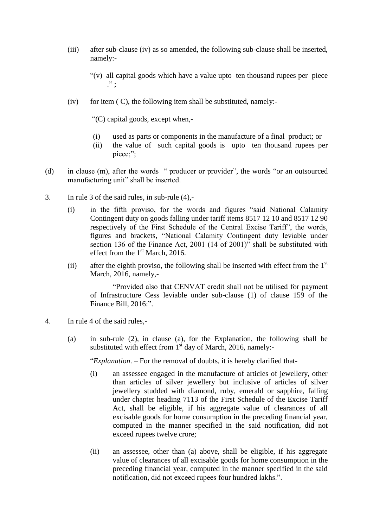- (iii) after sub-clause (iv) as so amended, the following sub-clause shall be inserted, namely:-
	- $\mathcal{L}(v)$  all capital goods which have a value upto ten thousand rupees per piece  $\cdot$  :
- $(iv)$  for item  $(C)$ , the following item shall be substituted, namely:-

―(C) capital goods, except when,-

- (i) used as parts or components in the manufacture of a final product; or
- (ii) the value of such capital goods is upto ten thousand rupees per piece;";
- (d) in clause (m), after the words " producer or provider", the words "or an outsourced manufacturing unit" shall be inserted.
- 3. In rule 3 of the said rules, in sub-rule (4),-
	- (i) in the fifth proviso, for the words and figures "said National Calamity Contingent duty on goods falling under tariff items 8517 12 10 and 8517 12 90 respectively of the First Schedule of the Central Excise Tariff', the words, figures and brackets, "National Calamity Contingent duty leviable under section 136 of the Finance Act,  $2001$  (14 of  $2001$ )" shall be substituted with effect from the  $1<sup>st</sup>$  March, 2016.
	- (ii) after the eighth proviso, the following shall be inserted with effect from the  $1<sup>st</sup>$ March, 2016, namely,-

―Provided also that CENVAT credit shall not be utilised for payment of Infrastructure Cess leviable under sub-clause (1) of clause 159 of the Finance Bill, 2016:".

- 4. In rule 4 of the said rules,-
	- (a) in sub-rule (2), in clause (a), for the Explanation, the following shall be substituted with effect from  $1<sup>st</sup>$  day of March, 2016, namely:-

―*Explanation*. – For the removal of doubts, it is hereby clarified that-

- (i) an assessee engaged in the manufacture of articles of jewellery, other than articles of silver jewellery but inclusive of articles of silver jewellery studded with diamond, ruby, emerald or sapphire, falling under chapter heading 7113 of the First Schedule of the Excise Tariff Act, shall be eligible, if his aggregate value of clearances of all excisable goods for home consumption in the preceding financial year, computed in the manner specified in the said notification, did not exceed rupees twelve crore;
- (ii) an assessee, other than (a) above, shall be eligible, if his aggregate value of clearances of all excisable goods for home consumption in the preceding financial year, computed in the manner specified in the said notification, did not exceed rupees four hundred lakhs.".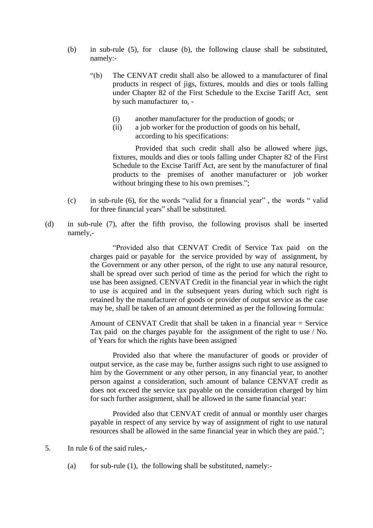- (b) in sub-rule (5), for clause (b), the following clause shall be substituted, namely:-
	- ―(b) The CENVAT credit shall also be allowed to a manufacturer of final products in respect of jigs, fixtures, moulds and dies or tools falling under Chapter 82 of the First Schedule to the Excise Tariff Act, sent by such manufacturer to, -
		- (i) another manufacturer for the production of goods; or
		- (ii) a job worker for the production of goods on his behalf, according to his specifications:

Provided that such credit shall also be allowed where jigs, fixtures, moulds and dies or tools falling under Chapter 82 of the First Schedule to the Excise Tariff Act, are sent by the manufacturer of final products to the premises of another manufacturer or job worker without bringing these to his own premises.";

- (c) in sub-rule (6), for the words "valid for a financial year", the words "valid for three financial years" shall be substituted.
- (d) in sub-rule (7), after the fifth proviso, the following provisos shall be inserted namely,-

―Provided also that CENVAT Credit of Service Tax paid on the charges paid or payable for the service provided by way of assignment, by the Government or any other person, of the right to use any natural resource, shall be spread over such period of time as the period for which the right to use has been assigned. CENVAT Credit in the financial year in which the right to use is acquired and in the subsequent years during which such right is retained by the manufacturer of goods or provider of output service as the case may be, shall be taken of an amount determined as per the following formula:

Amount of CENVAT Credit that shall be taken in a financial year = Service Tax paid on the charges payable for the assignment of the right to use / No. of Years for which the rights have been assigned

Provided also that where the manufacturer of goods or provider of output service, as the case may be, further assigns such right to use assigned to him by the Government or any other person, in any financial year, to another person against a consideration, such amount of balance CENVAT credit as does not exceed the service tax payable on the consideration charged by him for such further assignment, shall be allowed in the same financial year:

Provided also that CENVAT credit of annual or monthly user charges payable in respect of any service by way of assignment of right to use natural resources shall be allowed in the same financial year in which they are paid.";

- 5. In rule 6 of the said rules,-
	- (a) for sub-rule (1), the following shall be substituted, namely:-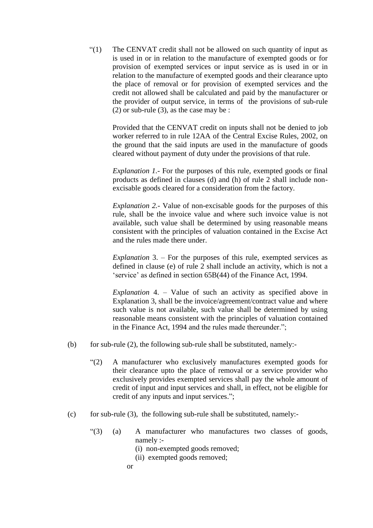―(1) The CENVAT credit shall not be allowed on such quantity of input as is used in or in relation to the manufacture of exempted goods or for provision of exempted services or input service as is used in or in relation to the manufacture of exempted goods and their clearance upto the place of removal or for provision of exempted services and the credit not allowed shall be calculated and paid by the manufacturer or the provider of output service, in terms of the provisions of sub-rule (2) or sub-rule (3), as the case may be :

Provided that the CENVAT credit on inputs shall not be denied to job worker referred to in rule 12AA of the Central Excise Rules, 2002, on the ground that the said inputs are used in the manufacture of goods cleared without payment of duty under the provisions of that rule.

*Explanation 1.*- For the purposes of this rule, exempted goods or final products as defined in clauses (d) and (h) of rule 2 shall include nonexcisable goods cleared for a consideration from the factory.

*Explanation 2.-* Value of non-excisable goods for the purposes of this rule, shall be the invoice value and where such invoice value is not available, such value shall be determined by using reasonable means consistent with the principles of valuation contained in the Excise Act and the rules made there under.

*Explanation* 3. – For the purposes of this rule, exempted services as defined in clause (e) of rule 2 shall include an activity, which is not a 'service' as defined in section 65B(44) of the Finance Act, 1994.

*Explanation* 4. – Value of such an activity as specified above in Explanation 3, shall be the invoice/agreement/contract value and where such value is not available, such value shall be determined by using reasonable means consistent with the principles of valuation contained in the Finance Act, 1994 and the rules made thereunder.";

- (b) for sub-rule  $(2)$ , the following sub-rule shall be substituted, namely:-
	- ―(2) A manufacturer who exclusively manufactures exempted goods for their clearance upto the place of removal or a service provider who exclusively provides exempted services shall pay the whole amount of credit of input and input services and shall, in effect, not be eligible for credit of any inputs and input services.";
- (c) for sub-rule (3), the following sub-rule shall be substituted, namely:-
	- ―(3) (a) A manufacturer who manufactures two classes of goods, namely :-
		- (i) non-exempted goods removed;
		- (ii) exempted goods removed;
		- or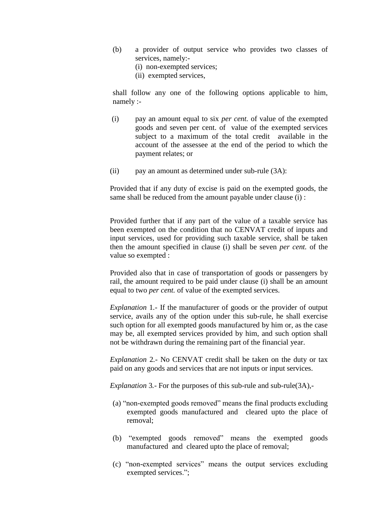- (b) a provider of output service who provides two classes of services, namely:-
	- (i) non-exempted services;
	- (ii) exempted services,

shall follow any one of the following options applicable to him, namely :-

- (i) pay an amount equal to six *per cent.* of value of the exempted goods and seven per cent. of value of the exempted services subject to a maximum of the total credit available in the account of the assessee at the end of the period to which the payment relates; or
- (ii) pay an amount as determined under sub-rule (3A):

Provided that if any duty of excise is paid on the exempted goods, the same shall be reduced from the amount payable under clause (i) :

Provided further that if any part of the value of a taxable service has been exempted on the condition that no CENVAT credit of inputs and input services, used for providing such taxable service, shall be taken then the amount specified in clause (i) shall be seven *per cent.* of the value so exempted :

Provided also that in case of transportation of goods or passengers by rail, the amount required to be paid under clause (i) shall be an amount equal to two *per cent.* of value of the exempted services.

*Explanation* 1*.-* If the manufacturer of goods or the provider of output service, avails any of the option under this sub-rule, he shall exercise such option for all exempted goods manufactured by him or, as the case may be, all exempted services provided by him, and such option shall not be withdrawn during the remaining part of the financial year.

*Explanation* 2*.-* No CENVAT credit shall be taken on the duty or tax paid on any goods and services that are not inputs or input services.

*Explanation* 3*.-* For the purposes of this sub-rule and sub-rule(3A),-

- (a) "non-exempted goods removed" means the final products excluding exempted goods manufactured and cleared upto the place of removal;
- (b) "exempted goods removed" means the exempted goods manufactured and cleared upto the place of removal;
- (c) "non-exempted services" means the output services excluding exempted services.";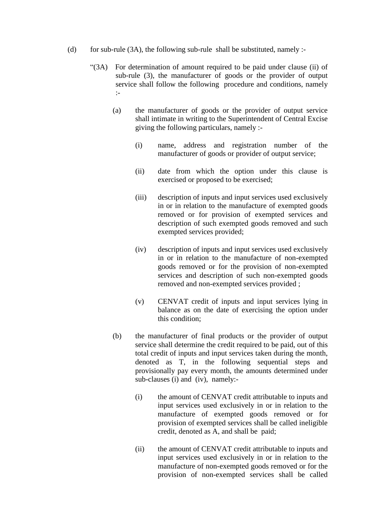- (d) for sub-rule (3A), the following sub-rule shall be substituted, namely :-
	- ―(3A) For determination of amount required to be paid under clause (ii) of sub-rule (3), the manufacturer of goods or the provider of output service shall follow the following procedure and conditions, namely :-
		- (a) the manufacturer of goods or the provider of output service shall intimate in writing to the Superintendent of Central Excise giving the following particulars, namely :-
			- (i) name, address and registration number of the manufacturer of goods or provider of output service;
			- (ii) date from which the option under this clause is exercised or proposed to be exercised;
			- (iii) description of inputs and input services used exclusively in or in relation to the manufacture of exempted goods removed or for provision of exempted services and description of such exempted goods removed and such exempted services provided;
			- (iv) description of inputs and input services used exclusively in or in relation to the manufacture of non-exempted goods removed or for the provision of non-exempted services and description of such non-exempted goods removed and non-exempted services provided ;
			- (v) CENVAT credit of inputs and input services lying in balance as on the date of exercising the option under this condition;
		- (b) the manufacturer of final products or the provider of output service shall determine the credit required to be paid, out of this total credit of inputs and input services taken during the month, denoted as T, in the following sequential steps and provisionally pay every month, the amounts determined under sub-clauses (i) and (iv), namely:-
			- (i) the amount of CENVAT credit attributable to inputs and input services used exclusively in or in relation to the manufacture of exempted goods removed or for provision of exempted services shall be called ineligible credit, denoted as A, and shall be paid;
			- (ii) the amount of CENVAT credit attributable to inputs and input services used exclusively in or in relation to the manufacture of non-exempted goods removed or for the provision of non-exempted services shall be called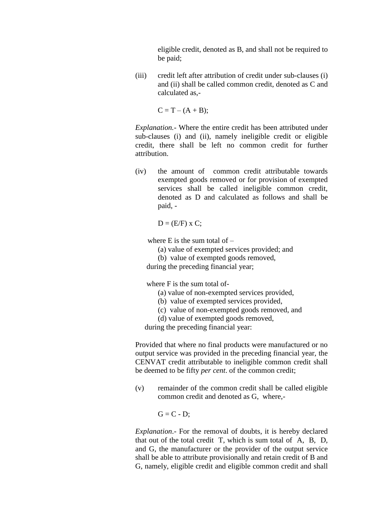eligible credit, denoted as B, and shall not be required to be paid;

(iii) credit left after attribution of credit under sub-clauses (i) and (ii) shall be called common credit, denoted as C and calculated as,-

 $C = T - (A + B);$ 

*Explanation.-* Where the entire credit has been attributed under sub-clauses (i) and (ii), namely ineligible credit or eligible credit, there shall be left no common credit for further attribution.

(iv) the amount of common credit attributable towards exempted goods removed or for provision of exempted services shall be called ineligible common credit, denoted as D and calculated as follows and shall be paid, -

 $D = (E/F) \times C$ ;

where E is the sum total of  $-$ 

- (a) value of exempted services provided; and
- (b) value of exempted goods removed,

during the preceding financial year;

where F is the sum total of-

- (a) value of non-exempted services provided,
- (b) value of exempted services provided,
- (c) value of non-exempted goods removed, and
- (d) value of exempted goods removed,

during the preceding financial year:

Provided that where no final products were manufactured or no output service was provided in the preceding financial year, the CENVAT credit attributable to ineligible common credit shall be deemed to be fifty *per cent*. of the common credit;

(v) remainder of the common credit shall be called eligible common credit and denoted as G, where,-

 $G = C - D$ ;

*Explanation*.- For the removal of doubts, it is hereby declared that out of the total credit T, which is sum total of A, B, D, and G, the manufacturer or the provider of the output service shall be able to attribute provisionally and retain credit of B and G, namely, eligible credit and eligible common credit and shall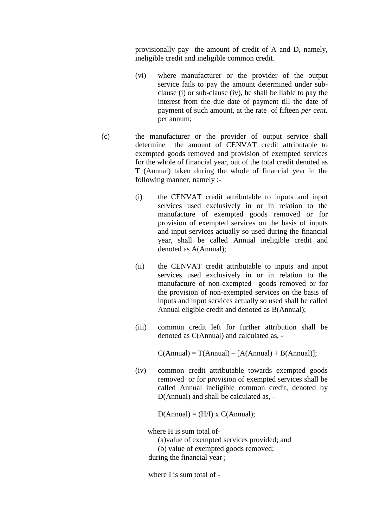provisionally pay the amount of credit of A and D, namely, ineligible credit and ineligible common credit.

- (vi) where manufacturer or the provider of the output service fails to pay the amount determined under subclause (i) or sub-clause (iv), he shall be liable to pay the interest from the due date of payment till the date of payment of such amount, at the rate of fifteen *per cent.* per annum;
- (c) the manufacturer or the provider of output service shall determine the amount of CENVAT credit attributable to exempted goods removed and provision of exempted services for the whole of financial year, out of the total credit denoted as T (Annual) taken during the whole of financial year in the following manner, namely :-
	- (i) the CENVAT credit attributable to inputs and input services used exclusively in or in relation to the manufacture of exempted goods removed or for provision of exempted services on the basis of inputs and input services actually so used during the financial year, shall be called Annual ineligible credit and denoted as A(Annual);
	- (ii) the CENVAT credit attributable to inputs and input services used exclusively in or in relation to the manufacture of non-exempted goods removed or for the provision of non-exempted services on the basis of inputs and input services actually so used shall be called Annual eligible credit and denoted as B(Annual);
	- (iii) common credit left for further attribution shall be denoted as C(Annual) and calculated as, -

 $C(Annual) = T(Annual) - [A(Annual) + B(Annual)];$ 

(iv) common credit attributable towards exempted goods removed or for provision of exempted services shall be called Annual ineligible common credit, denoted by D(Annual) and shall be calculated as, -

 $D(Annual) = (H/I) \times C(Annual);$ 

where H is sum total of-

(a)value of exempted services provided; and

(b) value of exempted goods removed;

during the financial year ;

where I is sum total of -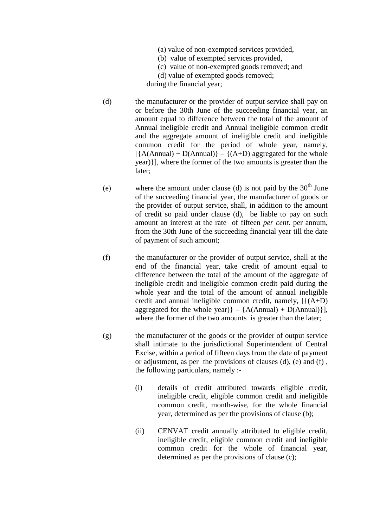- (a) value of non-exempted services provided,
- (b) value of exempted services provided,
- (c) value of non-exempted goods removed; and

(d) value of exempted goods removed;

during the financial year;

- (d) the manufacturer or the provider of output service shall pay on or before the 30th June of the succeeding financial year, an amount equal to difference between the total of the amount of Annual ineligible credit and Annual ineligible common credit and the aggregate amount of ineligible credit and ineligible common credit for the period of whole year, namely,  $[\{A(Annual) + D(Annual)\} - \{(A+D)$  aggregated for the whole year)}], where the former of the two amounts is greater than the later;
- (e) where the amount under clause (d) is not paid by the  $30<sup>th</sup>$  June of the succeeding financial year, the manufacturer of goods or the provider of output service, shall, in addition to the amount of credit so paid under clause (d), be liable to pay on such amount an interest at the rate of fifteen *per cent.* per annum, from the 30th June of the succeeding financial year till the date of payment of such amount;
- (f) the manufacturer or the provider of output service, shall at the end of the financial year, take credit of amount equal to difference between the total of the amount of the aggregate of ineligible credit and ineligible common credit paid during the whole year and the total of the amount of annual ineligible credit and annual ineligible common credit, namely,  $[(A+D)$ aggregated for the whole year) $\} - \{A(Annual) + D(Annual)\}\$ , where the former of the two amounts is greater than the later;
- (g) the manufacturer of the goods or the provider of output service shall intimate to the jurisdictional Superintendent of Central Excise, within a period of fifteen days from the date of payment or adjustment, as per the provisions of clauses (d), (e) and (f) , the following particulars, namely :-
	- (i) details of credit attributed towards eligible credit, ineligible credit, eligible common credit and ineligible common credit, month-wise, for the whole financial year, determined as per the provisions of clause (b);
	- (ii) CENVAT credit annually attributed to eligible credit, ineligible credit, eligible common credit and ineligible common credit for the whole of financial year, determined as per the provisions of clause (c);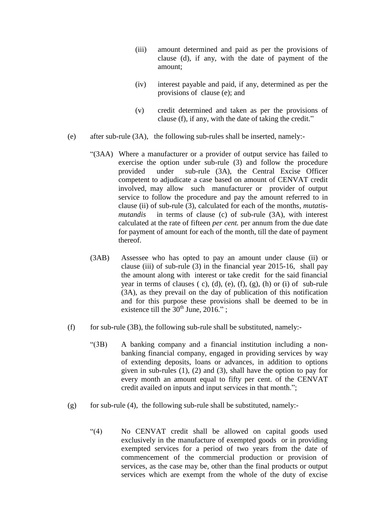- (iii) amount determined and paid as per the provisions of clause (d), if any, with the date of payment of the amount;
- (iv) interest payable and paid, if any, determined as per the provisions of clause (e); and
- (v) credit determined and taken as per the provisions of clause (f), if any, with the date of taking the credit."
- (e) after sub-rule (3A), the following sub-rules shall be inserted, namely:-
	- ―(3AA) Where a manufacturer or a provider of output service has failed to exercise the option under sub-rule (3) and follow the procedure provided under sub-rule (3A), the Central Excise Officer competent to adjudicate a case based on amount of CENVAT credit involved, may allow such manufacturer or provider of output service to follow the procedure and pay the amount referred to in clause (ii) of sub-rule (3), calculated for each of the months, *mutatismutandis* in terms of clause (c) of sub-rule (3A), with interest calculated at the rate of fifteen *per cent.* per annum from the due date for payment of amount for each of the month, till the date of payment thereof.
	- (3AB) Assessee who has opted to pay an amount under clause (ii) or clause (iii) of sub-rule  $(3)$  in the financial year 2015-16, shall pay the amount along with interest or take credit for the said financial year in terms of clauses  $(c)$ ,  $(d)$ ,  $(e)$ ,  $(f)$ ,  $(g)$ ,  $(h)$  or  $(i)$  of sub-rule (3A), as they prevail on the day of publication of this notification and for this purpose these provisions shall be deemed to be in existence till the  $30<sup>th</sup>$  June,  $2016$ .";
- (f) for sub-rule (3B), the following sub-rule shall be substituted, namely:-
	- ―(3B) A banking company and a financial institution including a nonbanking financial company, engaged in providing services by way of extending deposits, loans or advances, in addition to options given in sub-rules  $(1)$ ,  $(2)$  and  $(3)$ , shall have the option to pay for every month an amount equal to fifty per cent. of the CENVAT credit availed on inputs and input services in that month.";
- (g) for sub-rule (4), the following sub-rule shall be substituted, namely:-
	- ―(4) No CENVAT credit shall be allowed on capital goods used exclusively in the manufacture of exempted goods or in providing exempted services for a period of two years from the date of commencement of the commercial production or provision of services, as the case may be, other than the final products or output services which are exempt from the whole of the duty of excise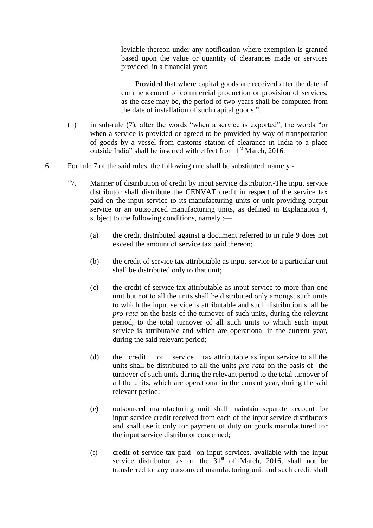leviable thereon under any notification where exemption is granted based upon the value or quantity of clearances made or services provided in a financial year:

Provided that where capital goods are received after the date of commencement of commercial production or provision of services, as the case may be, the period of two years shall be computed from the date of installation of such capital goods.".

- (h) in sub-rule  $(7)$ , after the words "when a service is exported", the words "or when a service is provided or agreed to be provided by way of transportation of goods by a vessel from customs station of clearance in India to a place outside India" shall be inserted with effect from  $1<sup>st</sup>$  March, 2016.
- 6. For rule 7 of the said rules, the following rule shall be substituted, namely:-
	- ―7. Manner of distribution of credit by input service distributor.-The input service distributor shall distribute the CENVAT credit in respect of the service tax paid on the input service to its manufacturing units or unit providing output service or an outsourced manufacturing units, as defined in Explanation 4, subject to the following conditions, namely :—
		- (a) the credit distributed against a document referred to in rule 9 does not exceed the amount of service tax paid thereon;
		- (b) the credit of service tax attributable as input service to a particular unit shall be distributed only to that unit;
		- (c) the credit of service tax attributable as input service to more than one unit but not to all the units shall be distributed only amongst such units to which the input service is attributable and such distribution shall be *pro rata* on the basis of the turnover of such units, during the relevant period, to the total turnover of all such units to which such input service is attributable and which are operational in the current year, during the said relevant period;
		- (d) the credit of service tax attributable as input service to all the units shall be distributed to all the units *pro rata* on the basis of the turnover of such units during the relevant period to the total turnover of all the units, which are operational in the current year, during the said relevant period;
		- (e) outsourced manufacturing unit shall maintain separate account for input service credit received from each of the input service distributors and shall use it only for payment of duty on goods manufactured for the input service distributor concerned;
		- (f) credit of service tax paid on input services, available with the input service distributor, as on the  $31<sup>st</sup>$  of March, 2016, shall not be transferred to any outsourced manufacturing unit and such credit shall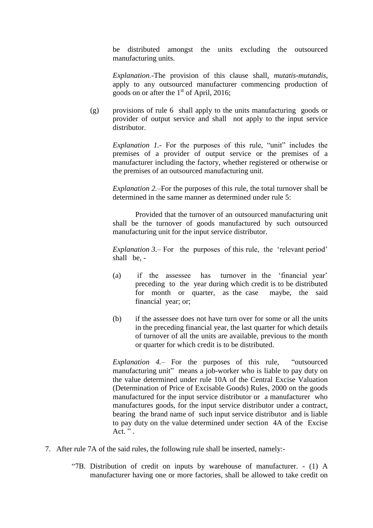be distributed amongst the units excluding the outsourced manufacturing units.

*Explanation.-*The provision of this clause shall, *mutatis-mutandis*, apply to any outsourced manufacturer commencing production of goods on or after the  $1<sup>st</sup>$  of April, 2016;

(g) provisions of rule 6 shall apply to the units manufacturing goods or provider of output service and shall not apply to the input service distributor.

*Explanation 1.*- For the purposes of this rule, "unit" includes the premises of a provider of output service or the premises of a manufacturer including the factory, whether registered or otherwise or the premises of an outsourced manufacturing unit.

*Explanation 2.–*For the purposes of this rule, the total turnover shall be determined in the same manner as determined under rule 5:

Provided that the turnover of an outsourced manufacturing unit shall be the turnover of goods manufactured by such outsourced manufacturing unit for the input service distributor.

*Explanation 3.*– For the purposes of this rule, the 'relevant period' shall be, -

- (a) if the assessee has turnover in the 'financial year' preceding to the year during which credit is to be distributed for month or quarter, as the case maybe, the said financial year; or;
- (b) if the assessee does not have turn over for some or all the units in the preceding financial year, the last quarter for which details of turnover of all the units are available, previous to the month or quarter for which credit is to be distributed.

*Explanation 4.* For the purposes of this rule, "outsourced manufacturing unit" means a job-worker who is liable to pay duty on the value determined under rule 10A of the Central Excise Valuation (Determination of Price of Excisable Goods) Rules, 2000 on the goods manufactured for the input service distributor or a manufacturer who manufactures goods, for the input service distributor under a contract, bearing the brand name of such input service distributor and is liable to pay duty on the value determined under section 4A of the Excise Act.  $"$ .

- 7. After rule 7A of the said rules, the following rule shall be inserted, namely:-
	- "7B. Distribution of credit on inputs by warehouse of manufacturer.  $(1)$  A manufacturer having one or more factories, shall be allowed to take credit on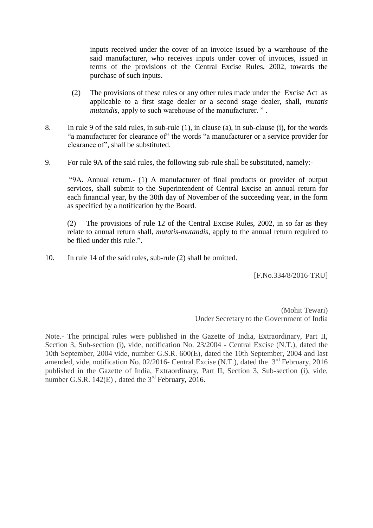inputs received under the cover of an invoice issued by a warehouse of the said manufacturer, who receives inputs under cover of invoices, issued in terms of the provisions of the Central Excise Rules, 2002, towards the purchase of such inputs.

- (2) The provisions of these rules or any other rules made under the Excise Act as applicable to a first stage dealer or a second stage dealer, shall, *mutatis mutandis, apply to such warehouse of the manufacturer.* ".
- 8. In rule 9 of the said rules, in sub-rule (1), in clause (a), in sub-clause (i), for the words "a manufacturer for clearance of" the words "a manufacturer or a service provider for clearance of", shall be substituted.
- 9. For rule 9A of the said rules, the following sub-rule shall be substituted, namely:-

"9A. Annual return.- (1) A manufacturer of final products or provider of output services, shall submit to the Superintendent of Central Excise an annual return for each financial year, by the 30th day of November of the succeeding year, in the form as specified by a notification by the Board.

(2) The provisions of rule 12 of the Central Excise Rules, 2002, in so far as they relate to annual return shall, *mutatis-mutandis*, apply to the annual return required to be filed under this rule.".

10. In rule 14 of the said rules, sub-rule (2) shall be omitted.

[F.No.334/8/2016-TRU]

(Mohit Tewari) Under Secretary to the Government of India

Note.- The principal rules were published in the Gazette of India, Extraordinary, Part II, Section 3, Sub-section (i), vide, notification No. 23/2004 - Central Excise (N.T.), dated the 10th September, 2004 vide, number G.S.R. 600(E), dated the 10th September, 2004 and last amended, vide, notification No. 02/2016- Central Excise (N.T.), dated the 3<sup>rd</sup> February, 2016 published in the Gazette of India, Extraordinary, Part II, Section 3, Sub-section (i), vide, number G.S.R.  $142(E)$ , dated the  $3<sup>rd</sup>$  February, 2016.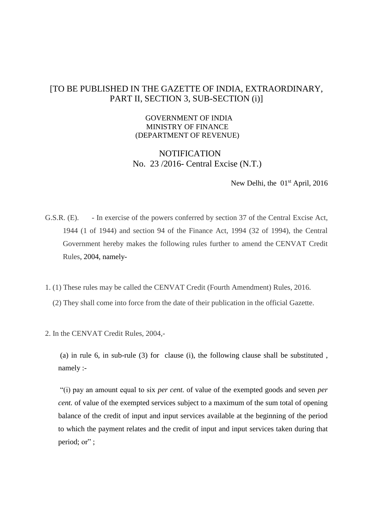# [TO BE PUBLISHED IN THE GAZETTE OF INDIA, EXTRAORDINARY, PART II, SECTION 3, SUB-SECTION (i)]

#### GOVERNMENT OF INDIA MINISTRY OF FINANCE (DEPARTMENT OF REVENUE)

 NOTIFICATION No. 23 /2016- Central Excise (N.T.)

New Delhi, the  $01<sup>st</sup>$  April, 2016

G.S.R. (E). - In exercise of the powers conferred by section 37 of the Central Excise Act, 1944 (1 of 1944) and section 94 of the Finance Act, 1994 (32 of 1994), the Central Government hereby makes the following rules further to amend the CENVAT Credit Rules, 2004, namely-

- 1. (1) These rules may be called the CENVAT Credit (Fourth Amendment) Rules, 2016.
	- (2) They shall come into force from the date of their publication in the official Gazette.
- 2. In the CENVAT Credit Rules, 2004,-

(a) in rule 6, in sub-rule (3) for clause (i), the following clause shall be substituted , namely :-

"(i) pay an amount equal to six *per cent.* of value of the exempted goods and seven *per cent.* of value of the exempted services subject to a maximum of the sum total of opening balance of the credit of input and input services available at the beginning of the period to which the payment relates and the credit of input and input services taken during that period; or";